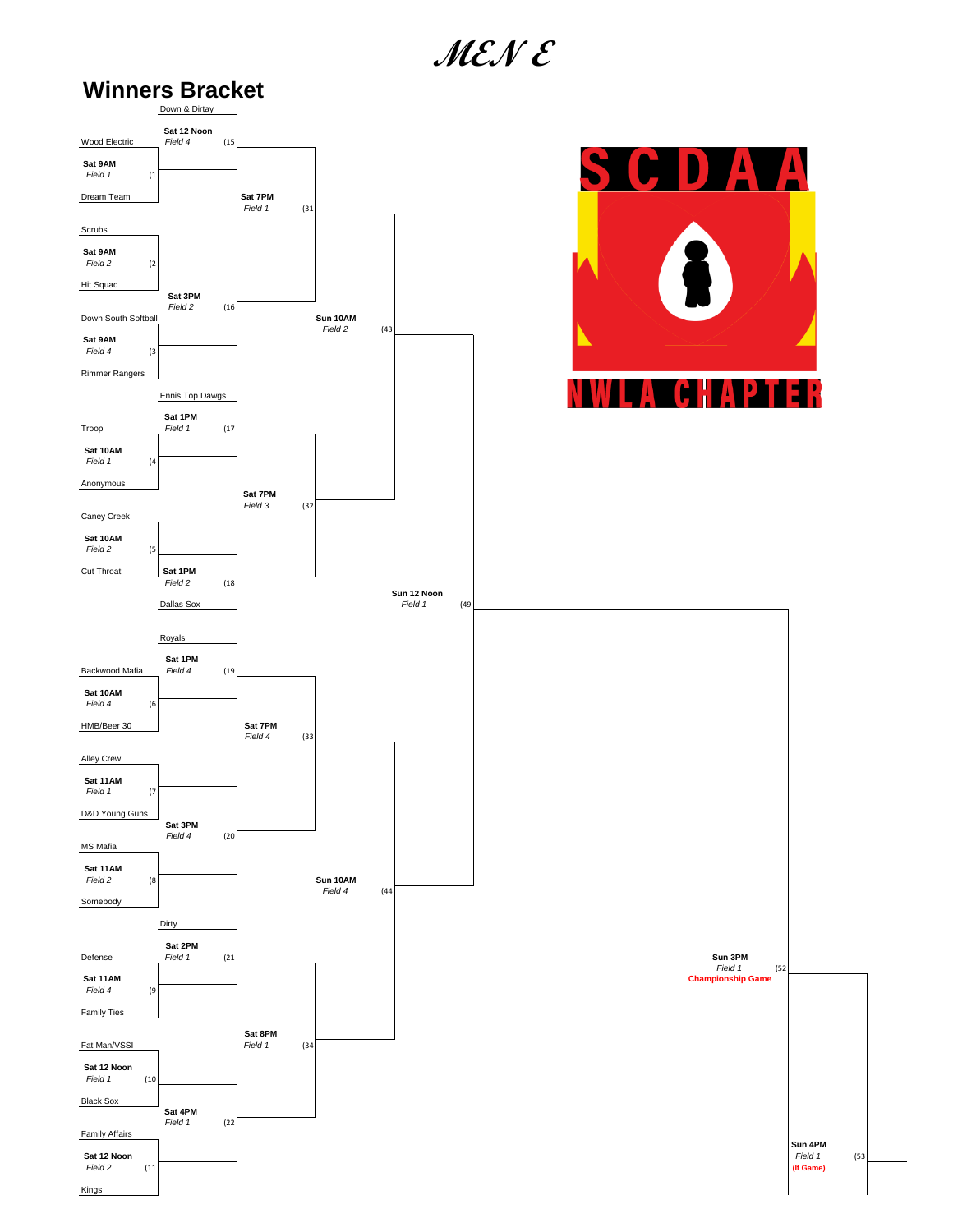